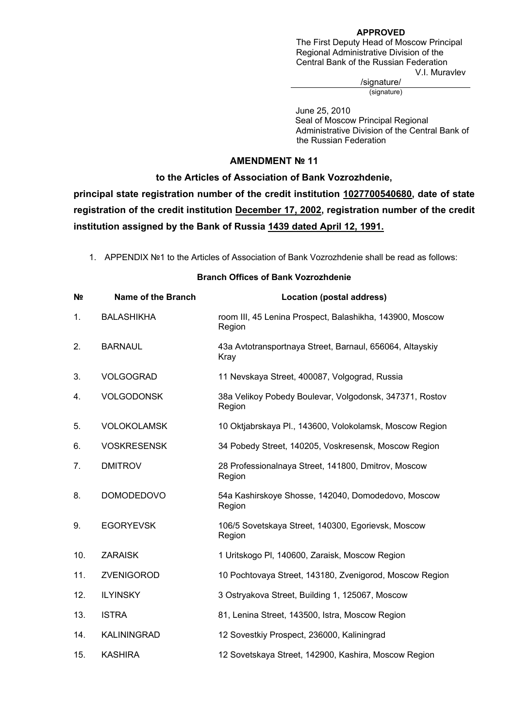### **APPROVED**

The First Deputy Head of Moscow Principal Regional Administrative Division of the Central Bank of the Russian Federation V.I. Muravlev

/signature/

(signature)

 June 25, 2010 Seal of Moscow Principal Regional Administrative Division of the Central Bank of the Russian Federation

## **AMENDMENT № 11**

## **to the Articles of Association of Bank Vozrozhdenie,**

**principal state registration number of the credit institution 1027700540680, date of state registration of the credit institution December 17, 2002, registration number of the credit institution assigned by the Bank of Russia 1439 dated April 12, 1991.**

1. APPENDIX №1 to the Articles of Association of Bank Vozrozhdenie shall be read as follows:

# **№ Name of the Branch Location (postal address)**  1. BALASHIKHA room III, 45 Lenina Prospect, Balashikha, 143900, Moscow Region 2. BARNAUL 43a Avtotransportnaya Street, Barnaul, 656064, Altayskiy Kray 3. VOLGOGRAD 11 Nevskaya Street, 400087, Volgograd, Russia 4. VOLGODONSK 38a Velikoy Pobedy Boulevar, Volgodonsk, 347371, Rostov Region 5. VOLOKOLAMSK 10 Oktjabrskaya Pl., 143600, Volokolamsk, Moscow Region 6. VOSKRESENSK 34 Pobedy Street, 140205, Voskresensk, Moscow Region 7. DMITROV 28 Professionalnaya Street, 141800, Dmitrov, Moscow Region 8. DOMODEDOVO 54a Kashirskoye Shosse, 142040, Domodedovo, Moscow Region 9. EGORYEVSK 106/5 Sovetskaya Street, 140300, Egorievsk, Moscow Region 10. ZARAISK 1 Uritskogo Pl, 140600, Zaraisk, Moscow Region 11. ZVENIGOROD 10 Pochtovaya Street, 143180, Zvenigorod, Moscow Region 12. ILYINSKY 3 Ostryakova Street, Building 1, 125067, Moscow 13. ISTRA 81, Lenina Street, 143500, Istra, Moscow Region 14. KALININGRAD 12 Sovestkiy Prospect, 236000, Kaliningrad 15. KASHIRA 12 Sovetskaya Street, 142900, Kashira, Moscow Region

#### **Branch Offices of Bank Vozrozhdenie**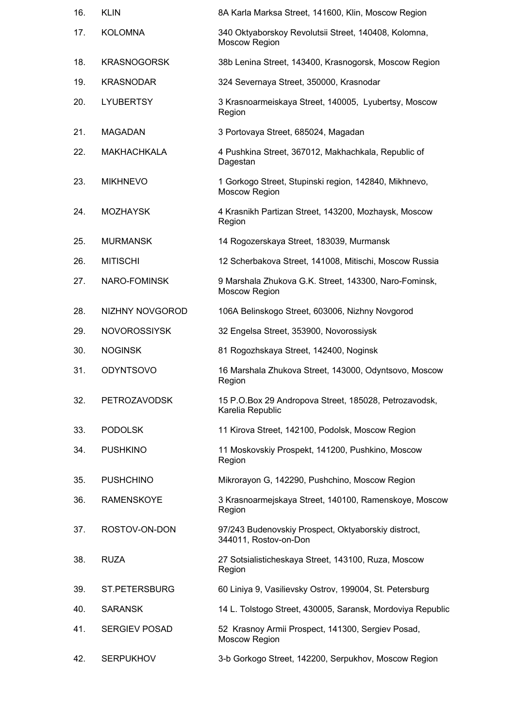| 16. | <b>KLIN</b>          | 8A Karla Marksa Street, 141600, Klin, Moscow Region                          |
|-----|----------------------|------------------------------------------------------------------------------|
| 17. | <b>KOLOMNA</b>       | 340 Oktyaborskoy Revolutsii Street, 140408, Kolomna,<br>Moscow Region        |
| 18. | <b>KRASNOGORSK</b>   | 38b Lenina Street, 143400, Krasnogorsk, Moscow Region                        |
| 19. | <b>KRASNODAR</b>     | 324 Severnaya Street, 350000, Krasnodar                                      |
| 20. | <b>LYUBERTSY</b>     | 3 Krasnoarmeiskaya Street, 140005, Lyubertsy, Moscow<br>Region               |
| 21. | <b>MAGADAN</b>       | 3 Portovaya Street, 685024, Magadan                                          |
| 22. | <b>MAKHACHKALA</b>   | 4 Pushkina Street, 367012, Makhachkala, Republic of<br>Dagestan              |
| 23. | <b>MIKHNEVO</b>      | 1 Gorkogo Street, Stupinski region, 142840, Mikhnevo,<br>Moscow Region       |
| 24. | <b>MOZHAYSK</b>      | 4 Krasnikh Partizan Street, 143200, Mozhaysk, Moscow<br>Region               |
| 25. | <b>MURMANSK</b>      | 14 Rogozerskaya Street, 183039, Murmansk                                     |
| 26. | <b>MITISCHI</b>      | 12 Scherbakova Street, 141008, Mitischi, Moscow Russia                       |
| 27. | NARO-FOMINSK         | 9 Marshala Zhukova G.K. Street, 143300, Naro-Fominsk,<br>Moscow Region       |
| 28. | NIZHNY NOVGOROD      | 106A Belinskogo Street, 603006, Nizhny Novgorod                              |
| 29. | <b>NOVOROSSIYSK</b>  | 32 Engelsa Street, 353900, Novorossiysk                                      |
| 30. | <b>NOGINSK</b>       | 81 Rogozhskaya Street, 142400, Noginsk                                       |
| 31. | <b>ODYNTSOVO</b>     | 16 Marshala Zhukova Street, 143000, Odyntsovo, Moscow<br>Region              |
| 32. | <b>PETROZAVODSK</b>  | 15 P.O.Box 29 Andropova Street, 185028, Petrozavodsk,<br>Karelia Republic    |
| 33. | <b>PODOLSK</b>       | 11 Kirova Street, 142100, Podolsk, Moscow Region                             |
| 34. | <b>PUSHKINO</b>      | 11 Moskovskiy Prospekt, 141200, Pushkino, Moscow<br>Region                   |
| 35. | <b>PUSHCHINO</b>     | Mikrorayon G, 142290, Pushchino, Moscow Region                               |
| 36. | <b>RAMENSKOYE</b>    | 3 Krasnoarmejskaya Street, 140100, Ramenskoye, Moscow<br>Region              |
| 37. | ROSTOV-ON-DON        | 97/243 Budenovskiy Prospect, Oktyaborskiy distroct,<br>344011, Rostov-on-Don |
| 38. | <b>RUZA</b>          | 27 Sotsialisticheskaya Street, 143100, Ruza, Moscow<br>Region                |
| 39. | ST.PETERSBURG        | 60 Liniya 9, Vasilievsky Ostrov, 199004, St. Petersburg                      |
| 40. | <b>SARANSK</b>       | 14 L. Tolstogo Street, 430005, Saransk, Mordoviya Republic                   |
| 41. | <b>SERGIEV POSAD</b> | 52 Krasnoy Armii Prospect, 141300, Sergiev Posad,<br>Moscow Region           |
| 42. | <b>SERPUKHOV</b>     | 3-b Gorkogo Street, 142200, Serpukhov, Moscow Region                         |